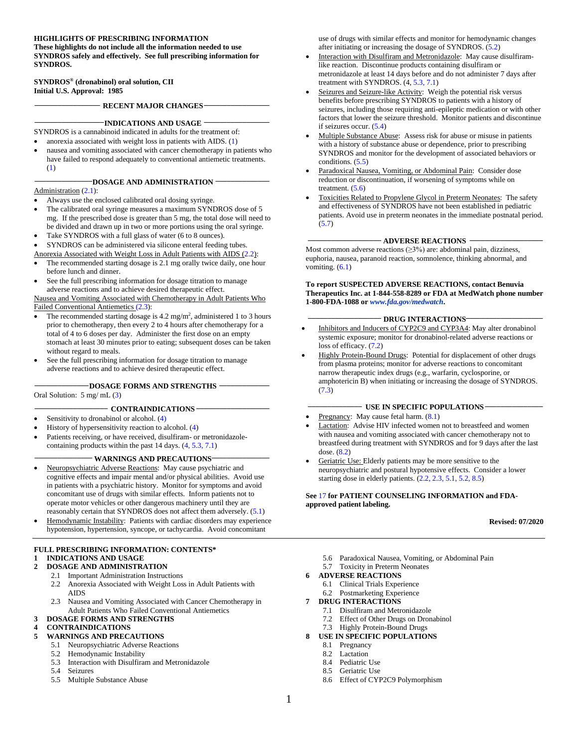#### **HIGHLIGHTS OF PRESCRIBING INFORMATION**

**These highlights do not include all the information needed to use SYNDROS safely and effectively. See full prescribing information for SYNDROS.**

**SYNDROS® (dronabinol) oral solution, CII Initial U.S. Approval: 1985**

**\_\_\_\_\_\_\_\_\_\_\_\_\_\_\_\_\_ RECENT MAJOR CHANGES\_\_\_\_\_\_\_\_\_\_\_\_\_\_\_\_\_**

#### **\_\_\_\_\_\_\_\_\_\_\_\_\_\_\_\_\_\_INDICATIONS AND USAGE \_\_\_\_\_\_\_\_\_\_\_\_\_\_\_\_\_**

- SYNDROS is a cannabinoid indicated in adults for the treatment of:
- anorexia associated with weight loss in patients with AIDS. (1)
- nausea and vomiting associated with cancer chemotherapy in patients who have failed to respond adequately to conventional antiemetic treatments. (1)

#### **\_\_\_\_\_\_\_\_\_\_\_\_\_\_\_DOSAGE AND ADMINISTRATION \_\_\_\_\_\_\_\_\_\_\_\_\_\_**

#### Administration (2.1):

- Always use the enclosed calibrated oral dosing syringe.
- The calibrated oral syringe measures a maximum SYNDROS dose of 5 mg. If the prescribed dose is greater than 5 mg, the total dose will need to be divided and drawn up in two or more portions using the oral syringe.
- Take SYNDROS with a full glass of water (6 to 8 ounces).
- SYNDROS can be administered via silicone enteral feeding tubes.
- Anorexia Associated with Weight Loss in Adult Patients with AIDS (2.2): The recommended starting dosage is 2.1 mg orally twice daily, one hour
- before lunch and dinner. See the full prescribing information for dosage titration to manage adverse reactions and to achieve desired therapeutic effect. Nausea and Vomiting Associated with Chemotherapy in Adult Patients Who

Failed Conventional Antiemetics (2.3):

- The recommended starting dosage is  $4.2 \text{ mg/m}^2$ , administered 1 to 3 hours prior to chemotherapy, then every 2 to 4 hours after chemotherapy for a total of 4 to 6 doses per day. Administer the first dose on an empty stomach at least 30 minutes prior to eating; subsequent doses can be taken without regard to meals.
- See the full prescribing information for dosage titration to manage adverse reactions and to achieve desired therapeutic effect.

#### **\_\_\_\_\_\_\_\_\_\_\_\_\_\_DOSAGE FORMS AND STRENGTHS \_\_\_\_\_\_\_\_\_\_\_\_\_**

Oral Solution: 5 mg/ mL (3)

#### **\_\_\_\_\_\_\_\_\_\_\_\_\_\_\_\_\_\_\_ CONTRAINDICATIONS \_\_\_\_\_\_\_\_\_\_\_\_\_\_\_\_\_\_\_**

- Sensitivity to dronabinol or alcohol. (4)
- History of hypersensitivity reaction to alcohol. (4)
- Patients receiving, or have received, disulfiram- or metronidazolecontaining products within the past 14 days. (4, 5.3, 7.1)

#### **\_\_\_\_\_\_\_\_\_\_\_\_\_\_\_ WARNINGS AND PRECAUTIONS\_\_\_\_\_\_\_\_\_\_\_\_\_\_\_**

- Neuropsychiatric Adverse Reactions: May cause psychiatric and cognitive effects and impair mental and/or physical abilities. Avoid use in patients with a psychiatric history. Monitor for symptoms and avoid concomitant use of drugs with similar effects. Inform patients not to operate motor vehicles or other dangerous machinery until they are reasonably certain that SYNDROS does not affect them adversely. (5.1)
- Hemodynamic Instability: Patients with cardiac disorders may experience hypotension, hypertension, syncope, or tachycardia. Avoid concomitant

#### **FULL PRESCRIBING INFORMATION: CONTENTS\* 1 INDICATIONS AND USAGE**

#### **2 DOSAGE AND ADMINISTRATION**

- 2.1 Important Administration Instructions
- 2.2 Anorexia Associated with Weight Loss in Adult Patients with AIDS
- 2.3 Nausea and Vomiting Associated with Cancer Chemotherapy in Adult Patients Who Failed Conventional Antiemetics

#### **3 DOSAGE FORMS AND STRENGTHS**

# **4 CONTRAINDICATIONS**

- **5 WARNINGS AND PRECAUTIONS**
	- 5.1 Neuropsychiatric Adverse Reactions
	- 5.2 Hemodynamic Instability
	- 5.3 Interaction with Disulfiram and Metronidazole
	- 5.4 Seizures
	- 5.5 Multiple Substance Abuse

use of drugs with similar effects and monitor for hemodynamic changes after initiating or increasing the dosage of SYNDROS. (5.2)

- Interaction with Disulfiram and Metronidazole: May cause disulfiramlike reaction. Discontinue products containing disulfiram or metronidazole at least 14 days before and do not administer 7 days after treatment with SYNDROS. (4, 5.3, 7.1)
- Seizures and Seizure-like Activity: Weigh the potential risk versus benefits before prescribing SYNDROS to patients with a history of seizures, including those requiring anti-epileptic medication or with other factors that lower the seizure threshold. Monitor patients and discontinue if seizures occur. (5.4)
- Multiple Substance Abuse: Assess risk for abuse or misuse in patients with a history of substance abuse or dependence, prior to prescribing SYNDROS and monitor for the development of associated behaviors or conditions. (5.5)
- Paradoxical Nausea, Vomiting, or Abdominal Pain: Consider dose reduction or discontinuation, if worsening of symptoms while on treatment. (5.6)
- Toxicities Related to Propylene Glycol in Preterm Neonates: The safety and effectiveness of SYNDROS have not been established in pediatric patients. Avoid use in preterm neonates in the immediate postnatal period. (5.7)

#### **\_\_\_\_\_\_\_\_\_\_\_\_\_\_\_\_\_\_\_ ADVERSE REACTIONS \_\_\_\_\_\_\_\_\_\_\_\_\_\_\_\_\_\_\_**

Most common adverse reactions  $(\geq 3\%)$  are: abdominal pain, dizziness, euphoria, nausea, paranoid reaction, somnolence, thinking abnormal, and vomiting.  $(6.1)$ 

#### **To report SUSPECTED ADVERSE REACTIONS, contact Benuvia Therapeutics Inc. at 1-844-558-8289 or FDA at MedWatch phone number 1-800-FDA-1088 or** *www.fda.gov/medwatch***.**

#### - **DRUG INTERACTIONS**

- Inhibitors and Inducers of CYP2C9 and CYP3A4: May alter dronabinol systemic exposure; monitor for dronabinol-related adverse reactions or loss of efficacy. (7.2)
- Highly Protein-Bound Drugs: Potential for displacement of other drugs from plasma proteins; monitor for adverse reactions to concomitant narrow therapeutic index drugs (e.g., warfarin, cyclosporine, or amphotericin B) when initiating or increasing the dosage of SYNDROS. (7.3)

#### **\_\_\_\_\_\_\_\_\_\_\_\_\_\_ USE IN SPECIFIC POPULATIONS \_\_\_\_\_\_\_\_\_\_\_\_\_\_\_**

- Pregnancy: May cause fetal harm.  $(8.1)$
- Lactation: Advise HIV infected women not to breastfeed and women with nausea and vomiting associated with cancer chemotherapy not to breastfeed during treatment with SYNDROS and for 9 days after the last dose. (8.2)
- Geriatric Use: Elderly patients may be more sensitive to the neuropsychiatric and postural hypotensive effects. Consider a lower starting dose in elderly patients. (2.2, 2.3, 5.1, 5.2, 8.5)

#### **See** 17 **for PATIENT COUNSELING INFORMATION and FDAapproved patient labeling.**

#### **Revised: 07/2020**

- 5.6 Paradoxical Nausea, Vomiting, or Abdominal Pain
- 5.7 Toxicity in Preterm Neonates
- **6 ADVERSE REACTIONS**
	- 6.1 Clinical Trials Experience
- 6.2 Postmarketing Experience
- **7 DRUG INTERACTIONS**
	- 7.1 Disulfiram and Metronidazole
	- 7.2 Effect of Other Drugs on Dronabinol
	- 7.3 Highly Protein-Bound Drugs
- **8 USE IN SPECIFIC POPULATIONS**
	- 8.1 Pregnancy<br>8.2 Lactation
	- Lactation
	- 8.4 Pediatric Use
	- 8.5 Geriatric Use
	- 8.6 Effect of CYP2C9 Polymorphism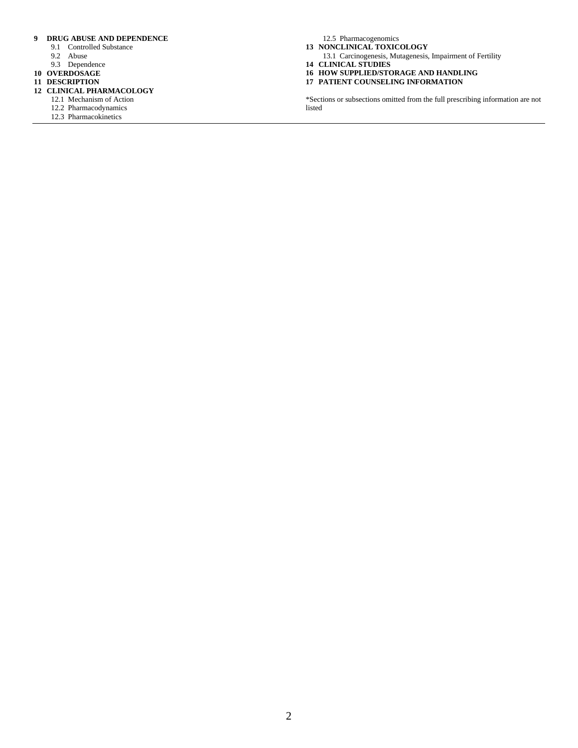#### **9 DRUG ABUSE AND DEPENDENCE**

- 9.1 Controlled Substance
- 9.2 Abuse
- 9.3 Dependence
- **10 OVERDOSAGE**
- **11 DESCRIPTION**
- **12 CLINICAL PHARMACOLOGY**
	- 12.1 Mechanism of Action
		- 12.2 Pharmacodynamics
		- 12.3 Pharmacokinetics

12.5 Pharmacogenomics **13 NONCLINICAL TOXICOLOGY**

- 13.1 Carcinogenesis, Mutagenesis, Impairment of Fertility
- **14 CLINICAL STUDIES**
- **16 HOW SUPPLIED/STORAGE AND HANDLING**
- **17 PATIENT COUNSELING INFORMATION**

\*Sections or subsections omitted from the full prescribing information are not listed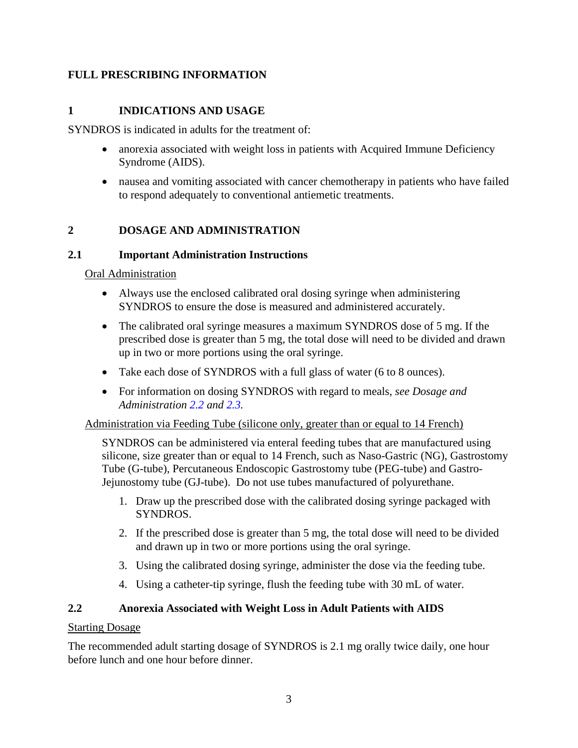### **FULL PRESCRIBING INFORMATION**

### **1 INDICATIONS AND USAGE**

SYNDROS is indicated in adults for the treatment of:

- anorexia associated with weight loss in patients with Acquired Immune Deficiency Syndrome (AIDS).
- nausea and vomiting associated with cancer chemotherapy in patients who have failed to respond adequately to conventional antiemetic treatments.

### **2 DOSAGE AND ADMINISTRATION**

#### **2.1 Important Administration Instructions**

Oral Administration

- Always use the enclosed calibrated oral dosing syringe when administering SYNDROS to ensure the dose is measured and administered accurately.
- The calibrated oral syringe measures a maximum SYNDROS dose of 5 mg. If the prescribed dose is greater than 5 mg, the total dose will need to be divided and drawn up in two or more portions using the oral syringe.
- Take each dose of SYNDROS with a full glass of water (6 to 8 ounces).
- For information on dosing SYNDROS with regard to meals, *see Dosage and Administration 2.2 and 2.3.*

Administration via Feeding Tube (silicone only, greater than or equal to 14 French)

SYNDROS can be administered via enteral feeding tubes that are manufactured using silicone, size greater than or equal to 14 French, such as Naso-Gastric (NG), Gastrostomy Tube (G-tube), Percutaneous Endoscopic Gastrostomy tube (PEG-tube) and Gastro-Jejunostomy tube (GJ-tube). Do not use tubes manufactured of polyurethane.

- 1. Draw up the prescribed dose with the calibrated dosing syringe packaged with SYNDROS.
- 2. If the prescribed dose is greater than 5 mg, the total dose will need to be divided and drawn up in two or more portions using the oral syringe.
- 3. Using the calibrated dosing syringe, administer the dose via the feeding tube.
- 4. Using a catheter-tip syringe, flush the feeding tube with 30 mL of water.

### **2.2 Anorexia Associated with Weight Loss in Adult Patients with AIDS**

#### Starting Dosage

The recommended adult starting dosage of SYNDROS is 2.1 mg orally twice daily, one hour before lunch and one hour before dinner.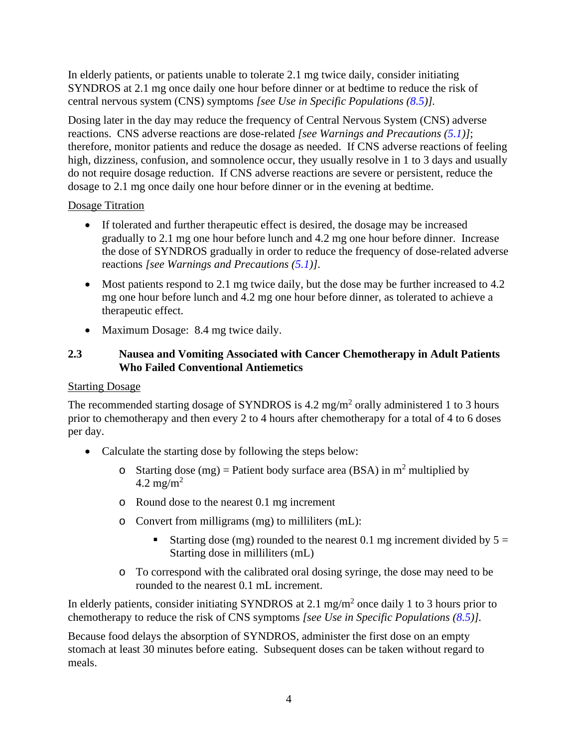In elderly patients, or patients unable to tolerate 2.1 mg twice daily, consider initiating SYNDROS at 2.1 mg once daily one hour before dinner or at bedtime to reduce the risk of central nervous system (CNS) symptoms *[see Use in Specific Populations (8.5)].*

Dosing later in the day may reduce the frequency of Central Nervous System (CNS) adverse reactions. CNS adverse reactions are dose-related *[see Warnings and Precautions (5.1)]*; therefore, monitor patients and reduce the dosage as needed. If CNS adverse reactions of feeling high, dizziness, confusion, and somnolence occur, they usually resolve in 1 to 3 days and usually do not require dosage reduction. If CNS adverse reactions are severe or persistent, reduce the dosage to 2.1 mg once daily one hour before dinner or in the evening at bedtime.

#### Dosage Titration

- If tolerated and further therapeutic effect is desired, the dosage may be increased gradually to 2.1 mg one hour before lunch and 4.2 mg one hour before dinner. Increase the dose of SYNDROS gradually in order to reduce the frequency of dose-related adverse reactions *[see Warnings and Precautions (5.1)]*.
- Most patients respond to 2.1 mg twice daily, but the dose may be further increased to 4.2 mg one hour before lunch and 4.2 mg one hour before dinner, as tolerated to achieve a therapeutic effect.
- Maximum Dosage: 8.4 mg twice daily.

## **2.3 Nausea and Vomiting Associated with Cancer Chemotherapy in Adult Patients Who Failed Conventional Antiemetics**

## Starting Dosage

The recommended starting dosage of SYNDROS is 4.2 mg/m<sup>2</sup> orally administered 1 to 3 hours prior to chemotherapy and then every 2 to 4 hours after chemotherapy for a total of 4 to 6 doses per day.

- Calculate the starting dose by following the steps below:
	- o Starting dose (mg) = Patient body surface area (BSA) in  $m^2$  multiplied by 4.2 mg/m<sup>2</sup>
	- o Round dose to the nearest 0.1 mg increment
	- o Convert from milligrams (mg) to milliliters (mL):
		- Starting dose (mg) rounded to the nearest 0.1 mg increment divided by  $5 =$ Starting dose in milliliters (mL)
	- o To correspond with the calibrated oral dosing syringe, the dose may need to be rounded to the nearest 0.1 mL increment.

In elderly patients, consider initiating SYNDROS at 2.1 mg/m<sup>2</sup> once daily 1 to 3 hours prior to chemotherapy to reduce the risk of CNS symptoms *[see Use in Specific Populations (8.5)].*

Because food delays the absorption of SYNDROS, administer the first dose on an empty stomach at least 30 minutes before eating. Subsequent doses can be taken without regard to meals.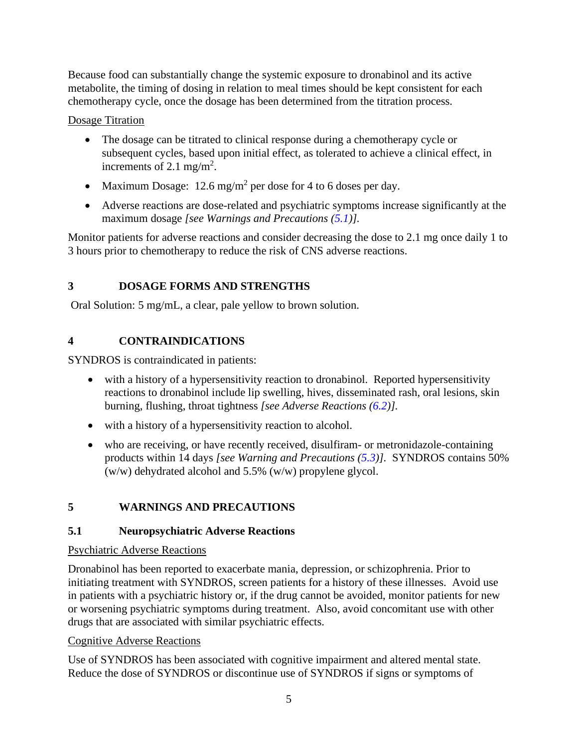Because food can substantially change the systemic exposure to dronabinol and its active metabolite, the timing of dosing in relation to meal times should be kept consistent for each chemotherapy cycle, once the dosage has been determined from the titration process.

Dosage Titration

- The dosage can be titrated to clinical response during a chemotherapy cycle or subsequent cycles, based upon initial effect, as tolerated to achieve a clinical effect, in increments of 2.1 mg/m<sup>2</sup>.
- Maximum Dosage:  $12.6 \text{ mg/m}^2$  per dose for 4 to 6 doses per day.
- Adverse reactions are dose-related and psychiatric symptoms increase significantly at the maximum dosage *[see Warnings and Precautions (5.1)].*

Monitor patients for adverse reactions and consider decreasing the dose to 2.1 mg once daily 1 to 3 hours prior to chemotherapy to reduce the risk of CNS adverse reactions.

# **3 DOSAGE FORMS AND STRENGTHS**

Oral Solution: 5 mg/mL, a clear, pale yellow to brown solution.

# **4 CONTRAINDICATIONS**

SYNDROS is contraindicated in patients:

- with a history of a hypersensitivity reaction to dronabinol. Reported hypersensitivity reactions to dronabinol include lip swelling, hives, disseminated rash, oral lesions, skin burning, flushing, throat tightness *[see Adverse Reactions (6.2)].*
- with a history of a hypersensitivity reaction to alcohol.
- who are receiving, or have recently received, disulfiram- or metronidazole-containing products within 14 days *[see Warning and Precautions (5.3)].* SYNDROS contains 50% (w/w) dehydrated alcohol and 5.5% (w/w) propylene glycol.

# **5 WARNINGS AND PRECAUTIONS**

# **5.1 Neuropsychiatric Adverse Reactions**

# Psychiatric Adverse Reactions

Dronabinol has been reported to exacerbate mania, depression, or schizophrenia. Prior to initiating treatment with SYNDROS, screen patients for a history of these illnesses. Avoid use in patients with a psychiatric history or, if the drug cannot be avoided, monitor patients for new or worsening psychiatric symptoms during treatment. Also, avoid concomitant use with other drugs that are associated with similar psychiatric effects.

# Cognitive Adverse Reactions

Use of SYNDROS has been associated with cognitive impairment and altered mental state. Reduce the dose of SYNDROS or discontinue use of SYNDROS if signs or symptoms of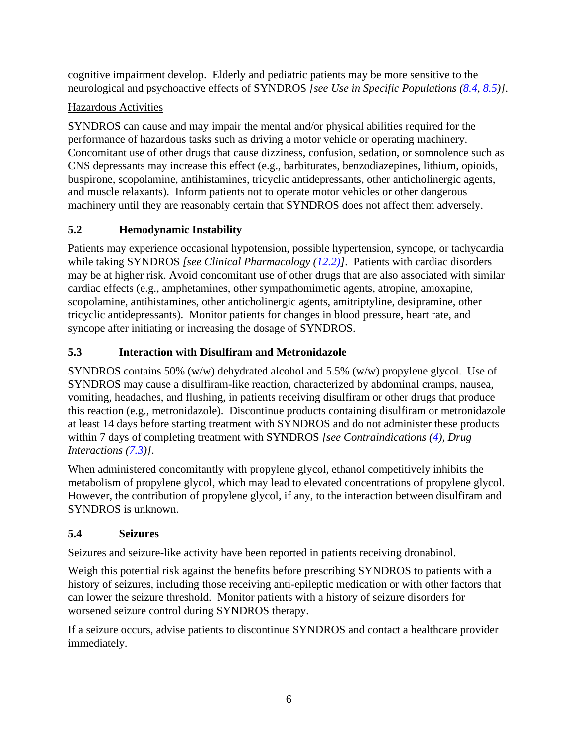cognitive impairment develop. Elderly and pediatric patients may be more sensitive to the neurological and psychoactive effects of SYNDROS *[see Use in Specific Populations (8.4, 8.5)]*.

# Hazardous Activities

SYNDROS can cause and may impair the mental and/or physical abilities required for the performance of hazardous tasks such as driving a motor vehicle or operating machinery. Concomitant use of other drugs that cause dizziness, confusion, sedation, or somnolence such as CNS depressants may increase this effect (e.g., barbiturates, benzodiazepines, lithium, opioids, buspirone, scopolamine, antihistamines, tricyclic antidepressants, other anticholinergic agents, and muscle relaxants). Inform patients not to operate motor vehicles or other dangerous machinery until they are reasonably certain that SYNDROS does not affect them adversely.

# **5.2 Hemodynamic Instability**

Patients may experience occasional hypotension, possible hypertension, syncope, or tachycardia while taking SYNDROS *[see Clinical Pharmacology (12.2)]*. Patients with cardiac disorders may be at higher risk. Avoid concomitant use of other drugs that are also associated with similar cardiac effects (e.g., amphetamines, other sympathomimetic agents, atropine, amoxapine, scopolamine, antihistamines, other anticholinergic agents, amitriptyline, desipramine, other tricyclic antidepressants). Monitor patients for changes in blood pressure, heart rate, and syncope after initiating or increasing the dosage of SYNDROS.

# **5.3 Interaction with Disulfiram and Metronidazole**

SYNDROS contains 50% (w/w) dehydrated alcohol and 5.5% (w/w) propylene glycol. Use of SYNDROS may cause a disulfiram-like reaction, characterized by abdominal cramps, nausea, vomiting, headaches, and flushing, in patients receiving disulfiram or other drugs that produce this reaction (e.g., metronidazole). Discontinue products containing disulfiram or metronidazole at least 14 days before starting treatment with SYNDROS and do not administer these products within 7 days of completing treatment with SYNDROS *[see Contraindications (4), Drug Interactions (7.3)]*.

When administered concomitantly with propylene glycol, ethanol competitively inhibits the metabolism of propylene glycol, which may lead to elevated concentrations of propylene glycol. However, the contribution of propylene glycol, if any, to the interaction between disulfiram and SYNDROS is unknown.

# **5.4 Seizures**

Seizures and seizure-like activity have been reported in patients receiving dronabinol.

Weigh this potential risk against the benefits before prescribing SYNDROS to patients with a history of seizures, including those receiving anti-epileptic medication or with other factors that can lower the seizure threshold. Monitor patients with a history of seizure disorders for worsened seizure control during SYNDROS therapy.

If a seizure occurs, advise patients to discontinue SYNDROS and contact a healthcare provider immediately.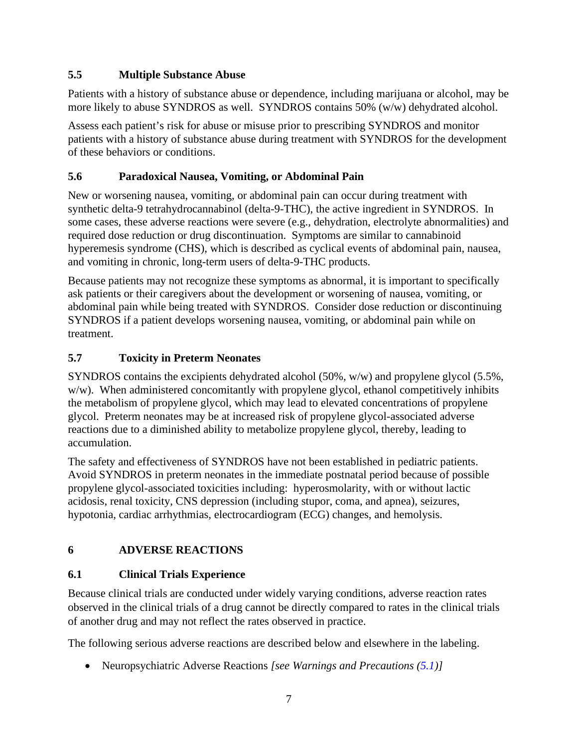## **5.5 Multiple Substance Abuse**

Patients with a history of substance abuse or dependence, including marijuana or alcohol, may be more likely to abuse SYNDROS as well. SYNDROS contains 50% (w/w) dehydrated alcohol.

Assess each patient's risk for abuse or misuse prior to prescribing SYNDROS and monitor patients with a history of substance abuse during treatment with SYNDROS for the development of these behaviors or conditions.

## **5.6 Paradoxical Nausea, Vomiting, or Abdominal Pain**

New or worsening nausea, vomiting, or abdominal pain can occur during treatment with synthetic delta-9 tetrahydrocannabinol (delta-9-THC), the active ingredient in SYNDROS. In some cases, these adverse reactions were severe (e.g., dehydration, electrolyte abnormalities) and required dose reduction or drug discontinuation. Symptoms are similar to cannabinoid hyperemesis syndrome (CHS), which is described as cyclical events of abdominal pain, nausea, and vomiting in chronic, long-term users of delta-9-THC products.

Because patients may not recognize these symptoms as abnormal, it is important to specifically ask patients or their caregivers about the development or worsening of nausea, vomiting, or abdominal pain while being treated with SYNDROS. Consider dose reduction or discontinuing SYNDROS if a patient develops worsening nausea, vomiting, or abdominal pain while on treatment.

## **5.7 Toxicity in Preterm Neonates**

SYNDROS contains the excipients dehydrated alcohol (50%, w/w) and propylene glycol (5.5%, w/w). When administered concomitantly with propylene glycol, ethanol competitively inhibits the metabolism of propylene glycol, which may lead to elevated concentrations of propylene glycol. Preterm neonates may be at increased risk of propylene glycol-associated adverse reactions due to a diminished ability to metabolize propylene glycol, thereby, leading to accumulation.

The safety and effectiveness of SYNDROS have not been established in pediatric patients. Avoid SYNDROS in preterm neonates in the immediate postnatal period because of possible propylene glycol-associated toxicities including: hyperosmolarity, with or without lactic acidosis, renal toxicity, CNS depression (including stupor, coma, and apnea), seizures, hypotonia, cardiac arrhythmias, electrocardiogram (ECG) changes, and hemolysis.

# **6 ADVERSE REACTIONS**

# **6.1 Clinical Trials Experience**

Because clinical trials are conducted under widely varying conditions, adverse reaction rates observed in the clinical trials of a drug cannot be directly compared to rates in the clinical trials of another drug and may not reflect the rates observed in practice.

The following serious adverse reactions are described below and elsewhere in the labeling.

• Neuropsychiatric Adverse Reactions *[see Warnings and Precautions (5.1)]*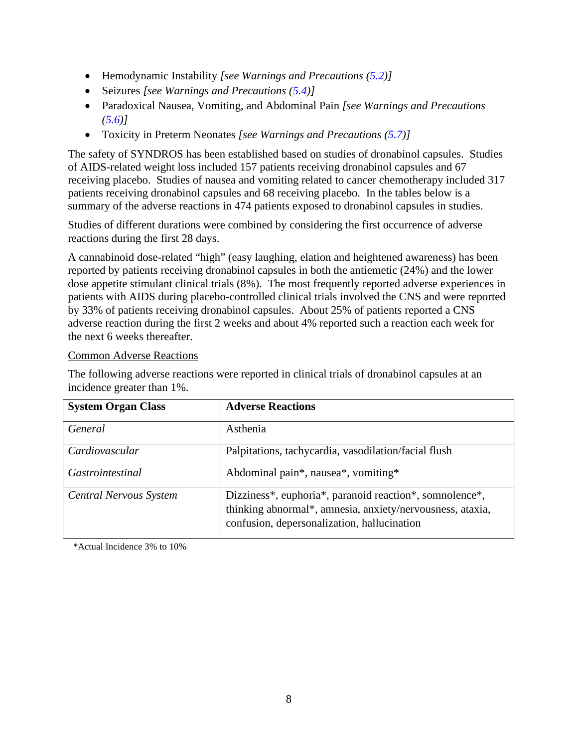- Hemodynamic Instability *[see Warnings and Precautions (5.2)]*
- Seizures *[see Warnings and Precautions (5.4)]*
- Paradoxical Nausea, Vomiting, and Abdominal Pain *[see Warnings and Precautions (5.6)]*
- Toxicity in Preterm Neonates *[see Warnings and Precautions (5.7)]*

The safety of SYNDROS has been established based on studies of dronabinol capsules. Studies of AIDS-related weight loss included 157 patients receiving dronabinol capsules and 67 receiving placebo. Studies of nausea and vomiting related to cancer chemotherapy included 317 patients receiving dronabinol capsules and 68 receiving placebo. In the tables below is a summary of the adverse reactions in 474 patients exposed to dronabinol capsules in studies.

Studies of different durations were combined by considering the first occurrence of adverse reactions during the first 28 days.

A cannabinoid dose-related "high" (easy laughing, elation and heightened awareness) has been reported by patients receiving dronabinol capsules in both the antiemetic (24%) and the lower dose appetite stimulant clinical trials (8%). The most frequently reported adverse experiences in patients with AIDS during placebo-controlled clinical trials involved the CNS and were reported by 33% of patients receiving dronabinol capsules. About 25% of patients reported a CNS adverse reaction during the first 2 weeks and about 4% reported such a reaction each week for the next 6 weeks thereafter.

#### Common Adverse Reactions

The following adverse reactions were reported in clinical trials of dronabinol capsules at an incidence greater than 1%.

| <b>System Organ Class</b>     | <b>Adverse Reactions</b>                                                                                                                                            |
|-------------------------------|---------------------------------------------------------------------------------------------------------------------------------------------------------------------|
| General                       | Asthenia                                                                                                                                                            |
| Cardiovascular                | Palpitations, tachycardia, vasodilation/facial flush                                                                                                                |
| Gastrointestinal              | Abdominal pain*, nausea*, vomiting*                                                                                                                                 |
| <b>Central Nervous System</b> | Dizziness*, euphoria*, paranoid reaction*, somnolence*,<br>thinking abnormal*, amnesia, anxiety/nervousness, ataxia,<br>confusion, depersonalization, hallucination |

\*Actual Incidence 3% to 10%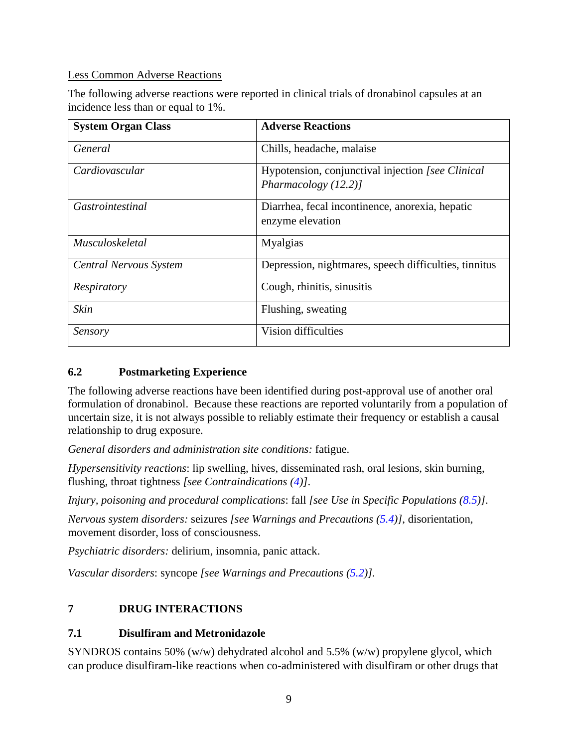### Less Common Adverse Reactions

The following adverse reactions were reported in clinical trials of dronabinol capsules at an incidence less than or equal to 1%.

| <b>System Organ Class</b>     | <b>Adverse Reactions</b>                                                   |
|-------------------------------|----------------------------------------------------------------------------|
| General                       | Chills, headache, malaise                                                  |
| Cardiovascular                | Hypotension, conjunctival injection [see Clinical<br>Pharmacology $(12.2)$ |
| <i>Gastrointestinal</i>       | Diarrhea, fecal incontinence, anorexia, hepatic<br>enzyme elevation        |
| <i>Musculoskeletal</i>        | <b>Myalgias</b>                                                            |
| <b>Central Nervous System</b> | Depression, nightmares, speech difficulties, tinnitus                      |
| Respiratory                   | Cough, rhinitis, sinusitis                                                 |
| <b>Skin</b>                   | Flushing, sweating                                                         |
| Sensory                       | Vision difficulties                                                        |

## **6.2 Postmarketing Experience**

The following adverse reactions have been identified during post-approval use of another oral formulation of dronabinol. Because these reactions are reported voluntarily from a population of uncertain size, it is not always possible to reliably estimate their frequency or establish a causal relationship to drug exposure.

*General disorders and administration site conditions:* fatigue.

*Hypersensitivity reactions*: lip swelling, hives, disseminated rash, oral lesions, skin burning, flushing, throat tightness *[see Contraindications (4)]*.

*Injury, poisoning and procedural complications*: fall *[see Use in Specific Populations (8.5)]*.

*Nervous system disorders:* seizures *[see Warnings and Precautions (5.4)]*, disorientation, movement disorder, loss of consciousness.

*Psychiatric disorders:* delirium, insomnia, panic attack.

*Vascular disorders*: syncope *[see Warnings and Precautions (5.2)].*

# **7 DRUG INTERACTIONS**

#### **7.1 Disulfiram and Metronidazole**

SYNDROS contains 50% (w/w) dehydrated alcohol and 5.5% (w/w) propylene glycol, which can produce disulfiram-like reactions when co-administered with disulfiram or other drugs that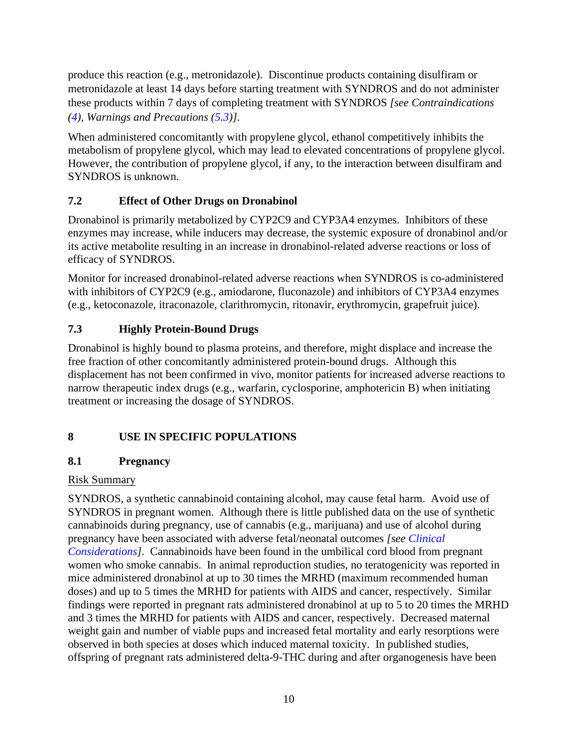produce this reaction (e.g., metronidazole). Discontinue products containing disulfiram or metronidazole at least 14 days before starting treatment with SYNDROS and do not administer these products within 7 days of completing treatment with SYNDROS *[see Contraindications (4), Warnings and Precautions (5.3)]*.

When administered concomitantly with propylene glycol, ethanol competitively inhibits the metabolism of propylene glycol, which may lead to elevated concentrations of propylene glycol. However, the contribution of propylene glycol, if any, to the interaction between disulfiram and SYNDROS is unknown.

## **7.2 Effect of Other Drugs on Dronabinol**

Dronabinol is primarily metabolized by CYP2C9 and CYP3A4 enzymes. Inhibitors of these enzymes may increase, while inducers may decrease, the systemic exposure of dronabinol and/or its active metabolite resulting in an increase in dronabinol-related adverse reactions or loss of efficacy of SYNDROS.

Monitor for increased dronabinol-related adverse reactions when SYNDROS is co-administered with inhibitors of CYP2C9 (e.g., amiodarone, fluconazole) and inhibitors of CYP3A4 enzymes (e.g., ketoconazole, itraconazole, clarithromycin, ritonavir, erythromycin, grapefruit juice).

# **7.3 Highly Protein-Bound Drugs**

Dronabinol is highly bound to plasma proteins, and therefore, might displace and increase the free fraction of other concomitantly administered protein-bound drugs. Although this displacement has not been confirmed in vivo, monitor patients for increased adverse reactions to narrow therapeutic index drugs (e.g., warfarin, cyclosporine, amphotericin B) when initiating treatment or increasing the dosage of SYNDROS.

# **8 USE IN SPECIFIC POPULATIONS**

# **8.1 Pregnancy**

## Risk Summary

SYNDROS, a synthetic cannabinoid containing alcohol, may cause fetal harm. Avoid use of SYNDROS in pregnant women. Although there is little published data on the use of synthetic cannabinoids during pregnancy, use of cannabis (e.g., marijuana) and use of alcohol during pregnancy have been associated with adverse fetal/neonatal outcomes *[see Clinical Considerations]*. Cannabinoids have been found in the umbilical cord blood from pregnant women who smoke cannabis. In animal reproduction studies, no teratogenicity was reported in mice administered dronabinol at up to 30 times the MRHD (maximum recommended human doses) and up to 5 times the MRHD for patients with AIDS and cancer, respectively. Similar findings were reported in pregnant rats administered dronabinol at up to 5 to 20 times the MRHD and 3 times the MRHD for patients with AIDS and cancer, respectively. Decreased maternal weight gain and number of viable pups and increased fetal mortality and early resorptions were observed in both species at doses which induced maternal toxicity. In published studies, offspring of pregnant rats administered delta-9-THC during and after organogenesis have been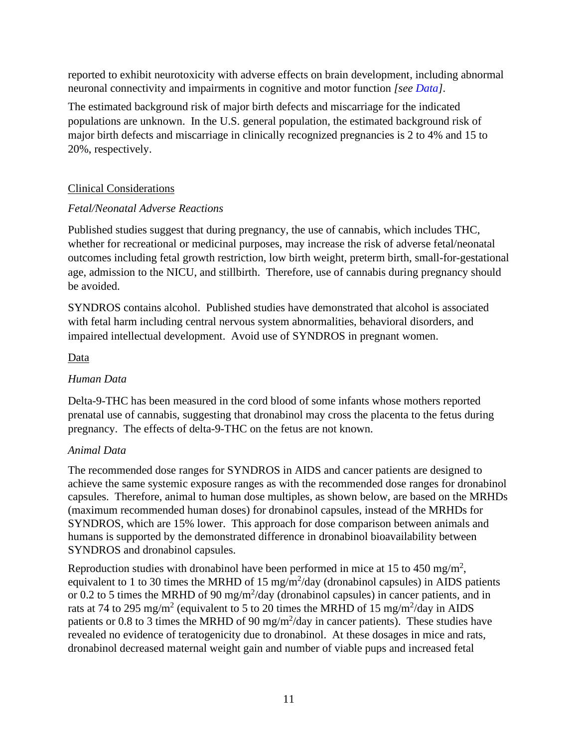reported to exhibit neurotoxicity with adverse effects on brain development, including abnormal neuronal connectivity and impairments in cognitive and motor function *[see Data]*.

The estimated background risk of major birth defects and miscarriage for the indicated populations are unknown. In the U.S. general population, the estimated background risk of major birth defects and miscarriage in clinically recognized pregnancies is 2 to 4% and 15 to 20%, respectively.

## Clinical Considerations

## *Fetal/Neonatal Adverse Reactions*

Published studies suggest that during pregnancy, the use of cannabis, which includes THC, whether for recreational or medicinal purposes, may increase the risk of adverse fetal/neonatal outcomes including fetal growth restriction, low birth weight, preterm birth, small-for-gestational age, admission to the NICU, and stillbirth. Therefore, use of cannabis during pregnancy should be avoided.

SYNDROS contains alcohol. Published studies have demonstrated that alcohol is associated with fetal harm including central nervous system abnormalities, behavioral disorders, and impaired intellectual development. Avoid use of SYNDROS in pregnant women.

## Data

## *Human Data*

Delta-9-THC has been measured in the cord blood of some infants whose mothers reported prenatal use of cannabis, suggesting that dronabinol may cross the placenta to the fetus during pregnancy. The effects of delta-9-THC on the fetus are not known.

## *Animal Data*

The recommended dose ranges for SYNDROS in AIDS and cancer patients are designed to achieve the same systemic exposure ranges as with the recommended dose ranges for dronabinol capsules. Therefore, animal to human dose multiples, as shown below, are based on the MRHDs (maximum recommended human doses) for dronabinol capsules, instead of the MRHDs for SYNDROS, which are 15% lower. This approach for dose comparison between animals and humans is supported by the demonstrated difference in dronabinol bioavailability between SYNDROS and dronabinol capsules.

Reproduction studies with dronabinol have been performed in mice at 15 to 450 mg/m<sup>2</sup>, equivalent to 1 to 30 times the MRHD of 15 mg/m<sup>2</sup>/day (dronabinol capsules) in AIDS patients or 0.2 to 5 times the MRHD of 90 mg/m<sup>2</sup>/day (dronabinol capsules) in cancer patients, and in rats at 74 to 295 mg/m<sup>2</sup> (equivalent to 5 to 20 times the MRHD of 15 mg/m<sup>2</sup>/day in AIDS patients or 0.8 to 3 times the MRHD of 90 mg/m<sup>2</sup>/day in cancer patients). These studies have revealed no evidence of teratogenicity due to dronabinol. At these dosages in mice and rats, dronabinol decreased maternal weight gain and number of viable pups and increased fetal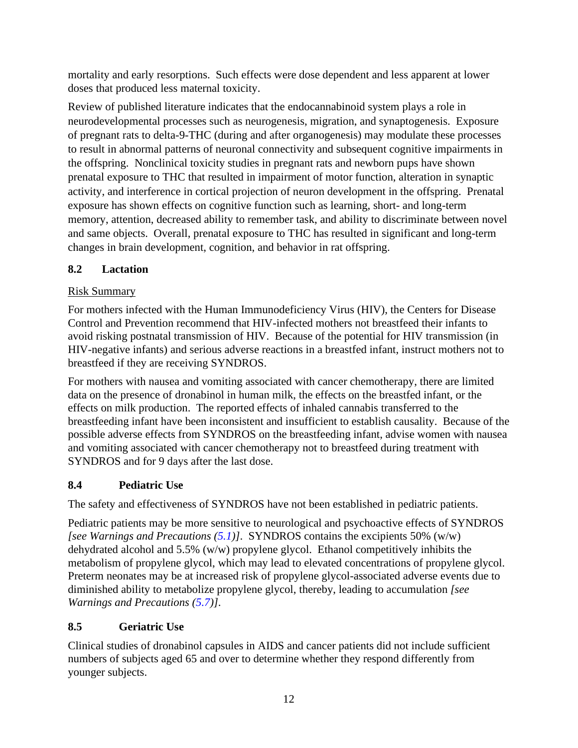mortality and early resorptions. Such effects were dose dependent and less apparent at lower doses that produced less maternal toxicity.

Review of published literature indicates that the endocannabinoid system plays a role in neurodevelopmental processes such as neurogenesis, migration, and synaptogenesis. Exposure of pregnant rats to delta-9-THC (during and after organogenesis) may modulate these processes to result in abnormal patterns of neuronal connectivity and subsequent cognitive impairments in the offspring. Nonclinical toxicity studies in pregnant rats and newborn pups have shown prenatal exposure to THC that resulted in impairment of motor function, alteration in synaptic activity, and interference in cortical projection of neuron development in the offspring. Prenatal exposure has shown effects on cognitive function such as learning, short- and long-term memory, attention, decreased ability to remember task, and ability to discriminate between novel and same objects. Overall, prenatal exposure to THC has resulted in significant and long-term changes in brain development, cognition, and behavior in rat offspring.

## **8.2 Lactation**

## Risk Summary

For mothers infected with the Human Immunodeficiency Virus (HIV), the Centers for Disease Control and Prevention recommend that HIV-infected mothers not breastfeed their infants to avoid risking postnatal transmission of HIV. Because of the potential for HIV transmission (in HIV-negative infants) and serious adverse reactions in a breastfed infant, instruct mothers not to breastfeed if they are receiving SYNDROS.

For mothers with nausea and vomiting associated with cancer chemotherapy, there are limited data on the presence of dronabinol in human milk, the effects on the breastfed infant, or the effects on milk production. The reported effects of inhaled cannabis transferred to the breastfeeding infant have been inconsistent and insufficient to establish causality. Because of the possible adverse effects from SYNDROS on the breastfeeding infant, advise women with nausea and vomiting associated with cancer chemotherapy not to breastfeed during treatment with SYNDROS and for 9 days after the last dose.

# **8.4 Pediatric Use**

The safety and effectiveness of SYNDROS have not been established in pediatric patients.

Pediatric patients may be more sensitive to neurological and psychoactive effects of SYNDROS *[see Warnings and Precautions (5.1)]*. SYNDROS contains the excipients 50% (w/w) dehydrated alcohol and 5.5% (w/w) propylene glycol. Ethanol competitively inhibits the metabolism of propylene glycol, which may lead to elevated concentrations of propylene glycol. Preterm neonates may be at increased risk of propylene glycol-associated adverse events due to diminished ability to metabolize propylene glycol, thereby, leading to accumulation *[see Warnings and Precautions (5.7)]*.

# **8.5 Geriatric Use**

Clinical studies of dronabinol capsules in AIDS and cancer patients did not include sufficient numbers of subjects aged 65 and over to determine whether they respond differently from younger subjects.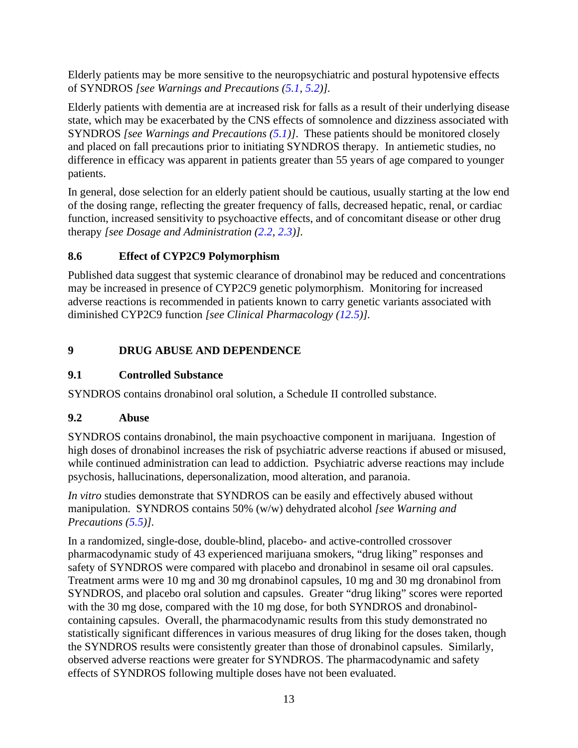Elderly patients may be more sensitive to the neuropsychiatric and postural hypotensive effects of SYNDROS *[see Warnings and Precautions (5.1, 5.2)].*

Elderly patients with dementia are at increased risk for falls as a result of their underlying disease state, which may be exacerbated by the CNS effects of somnolence and dizziness associated with SYNDROS *[see Warnings and Precautions (5.1)]*. These patients should be monitored closely and placed on fall precautions prior to initiating SYNDROS therapy*.* In antiemetic studies, no difference in efficacy was apparent in patients greater than 55 years of age compared to younger patients.

In general, dose selection for an elderly patient should be cautious, usually starting at the low end of the dosing range, reflecting the greater frequency of falls, decreased hepatic, renal, or cardiac function, increased sensitivity to psychoactive effects, and of concomitant disease or other drug therapy *[see Dosage and Administration (2.2, 2.3)].*

## **8.6 Effect of CYP2C9 Polymorphism**

Published data suggest that systemic clearance of dronabinol may be reduced and concentrations may be increased in presence of CYP2C9 genetic polymorphism. Monitoring for increased adverse reactions is recommended in patients known to carry genetic variants associated with diminished CYP2C9 function *[see Clinical Pharmacology (12.5)].*

# **9 DRUG ABUSE AND DEPENDENCE**

# **9.1 Controlled Substance**

SYNDROS contains dronabinol oral solution, a Schedule II controlled substance.

# **9.2 Abuse**

SYNDROS contains dronabinol, the main psychoactive component in marijuana. Ingestion of high doses of dronabinol increases the risk of psychiatric adverse reactions if abused or misused, while continued administration can lead to addiction. Psychiatric adverse reactions may include psychosis, hallucinations, depersonalization, mood alteration, and paranoia.

*In vitro* studies demonstrate that SYNDROS can be easily and effectively abused without manipulation. SYNDROS contains 50% (w/w) dehydrated alcohol *[see Warning and Precautions (5.5)].*

In a randomized, single-dose, double-blind, placebo- and active-controlled crossover pharmacodynamic study of 43 experienced marijuana smokers, "drug liking" responses and safety of SYNDROS were compared with placebo and dronabinol in sesame oil oral capsules. Treatment arms were 10 mg and 30 mg dronabinol capsules, 10 mg and 30 mg dronabinol from SYNDROS, and placebo oral solution and capsules. Greater "drug liking" scores were reported with the 30 mg dose, compared with the 10 mg dose, for both SYNDROS and dronabinolcontaining capsules. Overall, the pharmacodynamic results from this study demonstrated no statistically significant differences in various measures of drug liking for the doses taken, though the SYNDROS results were consistently greater than those of dronabinol capsules. Similarly, observed adverse reactions were greater for SYNDROS. The pharmacodynamic and safety effects of SYNDROS following multiple doses have not been evaluated.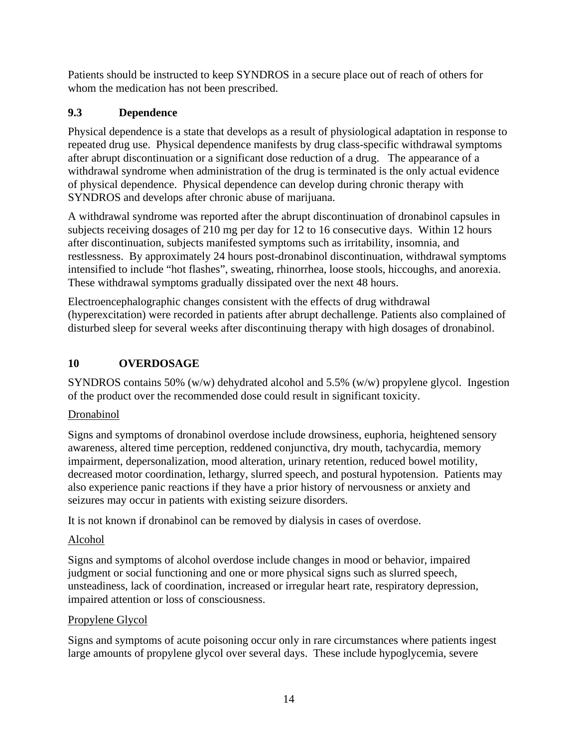Patients should be instructed to keep SYNDROS in a secure place out of reach of others for whom the medication has not been prescribed.

## **9.3 Dependence**

Physical dependence is a state that develops as a result of physiological adaptation in response to repeated drug use. Physical dependence manifests by drug class-specific withdrawal symptoms after abrupt discontinuation or a significant dose reduction of a drug. The appearance of a withdrawal syndrome when administration of the drug is terminated is the only actual evidence of physical dependence. Physical dependence can develop during chronic therapy with SYNDROS and develops after chronic abuse of marijuana.

A withdrawal syndrome was reported after the abrupt discontinuation of dronabinol capsules in subjects receiving dosages of 210 mg per day for 12 to 16 consecutive days. Within 12 hours after discontinuation, subjects manifested symptoms such as irritability, insomnia, and restlessness. By approximately 24 hours post-dronabinol discontinuation, withdrawal symptoms intensified to include "hot flashes", sweating, rhinorrhea, loose stools, hiccoughs, and anorexia. These withdrawal symptoms gradually dissipated over the next 48 hours.

Electroencephalographic changes consistent with the effects of drug withdrawal (hyperexcitation) were recorded in patients after abrupt dechallenge. Patients also complained of disturbed sleep for several weeks after discontinuing therapy with high dosages of dronabinol.

## **10 OVERDOSAGE**

SYNDROS contains 50% (w/w) dehydrated alcohol and 5.5% (w/w) propylene glycol. Ingestion of the product over the recommended dose could result in significant toxicity.

## Dronabinol

Signs and symptoms of dronabinol overdose include drowsiness, euphoria, heightened sensory awareness, altered time perception, reddened conjunctiva, dry mouth, tachycardia, memory impairment, depersonalization, mood alteration, urinary retention, reduced bowel motility, decreased motor coordination, lethargy, slurred speech, and postural hypotension. Patients may also experience panic reactions if they have a prior history of nervousness or anxiety and seizures may occur in patients with existing seizure disorders.

It is not known if dronabinol can be removed by dialysis in cases of overdose.

## Alcohol

Signs and symptoms of alcohol overdose include changes in mood or behavior, impaired judgment or social functioning and one or more physical signs such as slurred speech, unsteadiness, lack of coordination, increased or irregular heart rate, respiratory depression, impaired attention or loss of consciousness.

## Propylene Glycol

Signs and symptoms of acute poisoning occur only in rare circumstances where patients ingest large amounts of propylene glycol over several days. These include hypoglycemia, severe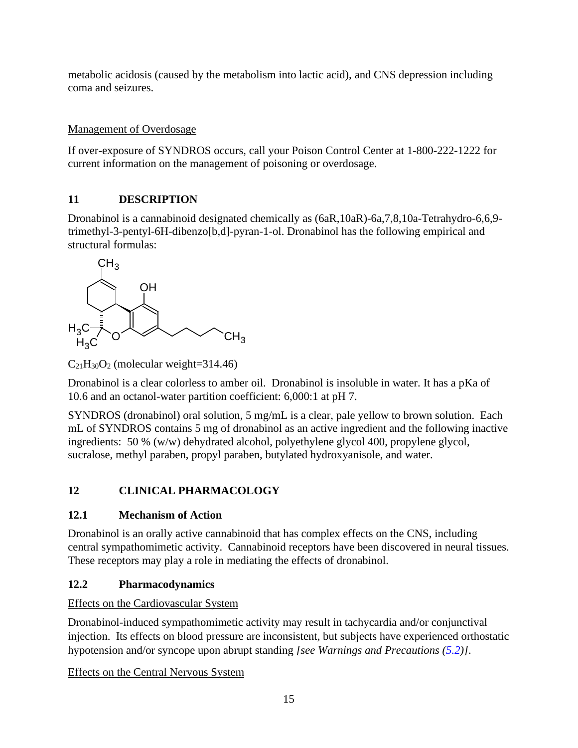metabolic acidosis (caused by the metabolism into lactic acid), and CNS depression including coma and seizures.

### Management of Overdosage

If over-exposure of SYNDROS occurs, call your Poison Control Center at 1-800-222-1222 for current information on the management of poisoning or overdosage.

## **11 DESCRIPTION**

Dronabinol is a cannabinoid designated chemically as (6aR,10aR)-6a,7,8,10a-Tetrahydro-6,6,9 trimethyl-3-pentyl-6H-dibenzo[b,d]-pyran-1-ol. Dronabinol has the following empirical and structural formulas:



 $C_{21}H_{30}O_2$  (molecular weight=314.46)

Dronabinol is a clear colorless to amber oil. Dronabinol is insoluble in water. It has a pKa of 10.6 and an octanol-water partition coefficient: 6,000:1 at pH 7.

SYNDROS (dronabinol) oral solution, 5 mg/mL is a clear, pale yellow to brown solution. Each mL of SYNDROS contains 5 mg of dronabinol as an active ingredient and the following inactive ingredients: 50 % (w/w) dehydrated alcohol, polyethylene glycol 400, propylene glycol, sucralose, methyl paraben, propyl paraben, butylated hydroxyanisole, and water.

# **12 CLINICAL PHARMACOLOGY**

## **12.1 Mechanism of Action**

Dronabinol is an orally active cannabinoid that has complex effects on the CNS, including central sympathomimetic activity. Cannabinoid receptors have been discovered in neural tissues. These receptors may play a role in mediating the effects of dronabinol.

# **12.2 Pharmacodynamics**

## Effects on the Cardiovascular System

Dronabinol-induced sympathomimetic activity may result in tachycardia and/or conjunctival injection. Its effects on blood pressure are inconsistent, but subjects have experienced orthostatic hypotension and/or syncope upon abrupt standing *[see Warnings and Precautions (5.2)]*.

Effects on the Central Nervous System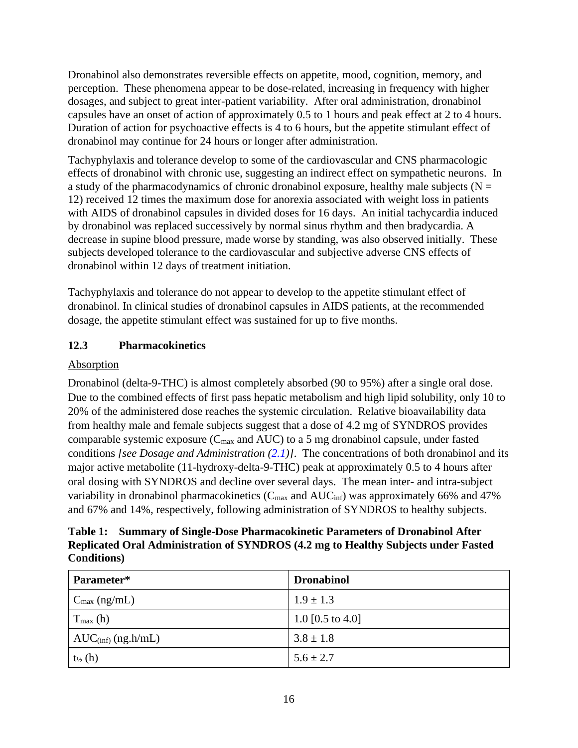Dronabinol also demonstrates reversible effects on appetite, mood, cognition, memory, and perception. These phenomena appear to be dose-related, increasing in frequency with higher dosages, and subject to great inter-patient variability. After oral administration, dronabinol capsules have an onset of action of approximately 0.5 to 1 hours and peak effect at 2 to 4 hours. Duration of action for psychoactive effects is 4 to 6 hours, but the appetite stimulant effect of dronabinol may continue for 24 hours or longer after administration.

Tachyphylaxis and tolerance develop to some of the cardiovascular and CNS pharmacologic effects of dronabinol with chronic use, suggesting an indirect effect on sympathetic neurons. In a study of the pharmacodynamics of chronic dronabinol exposure, healthy male subjects ( $N =$ 12) received 12 times the maximum dose for anorexia associated with weight loss in patients with AIDS of dronabinol capsules in divided doses for 16 days. An initial tachycardia induced by dronabinol was replaced successively by normal sinus rhythm and then bradycardia. A decrease in supine blood pressure, made worse by standing, was also observed initially. These subjects developed tolerance to the cardiovascular and subjective adverse CNS effects of dronabinol within 12 days of treatment initiation.

Tachyphylaxis and tolerance do not appear to develop to the appetite stimulant effect of dronabinol. In clinical studies of dronabinol capsules in AIDS patients, at the recommended dosage, the appetite stimulant effect was sustained for up to five months.

## **12.3 Pharmacokinetics**

## Absorption

Dronabinol (delta-9-THC) is almost completely absorbed (90 to 95%) after a single oral dose. Due to the combined effects of first pass hepatic metabolism and high lipid solubility, only 10 to 20% of the administered dose reaches the systemic circulation. Relative bioavailability data from healthy male and female subjects suggest that a dose of 4.2 mg of SYNDROS provides comparable systemic exposure (Cmax and AUC) to a 5 mg dronabinol capsule, under fasted conditions *[see Dosage and Administration (2.1)]*. The concentrations of both dronabinol and its major active metabolite (11-hydroxy-delta-9-THC) peak at approximately 0.5 to 4 hours after oral dosing with SYNDROS and decline over several days. The mean inter- and intra-subject variability in dronabinol pharmacokinetics ( $C_{\text{max}}$  and  $AUC_{\text{inf}}$ ) was approximately 66% and 47% and 67% and 14%, respectively, following administration of SYNDROS to healthy subjects.

**Table 1: Summary of Single-Dose Pharmacokinetic Parameters of Dronabinol After Replicated Oral Administration of SYNDROS (4.2 mg to Healthy Subjects under Fasted Conditions)**

| Parameter*               | <b>Dronabinol</b>           |
|--------------------------|-----------------------------|
| $C_{\text{max}}$ (ng/mL) | $1.9 \pm 1.3$               |
| $T_{\text{max}}$ (h)     | 1.0 $[0.5 \text{ to } 4.0]$ |
| $AUC(inf)$ (ng.h/mL)     | $3.8 \pm 1.8$               |
| $t_{\frac{1}{2}}(h)$     | $5.6 \pm 2.7$               |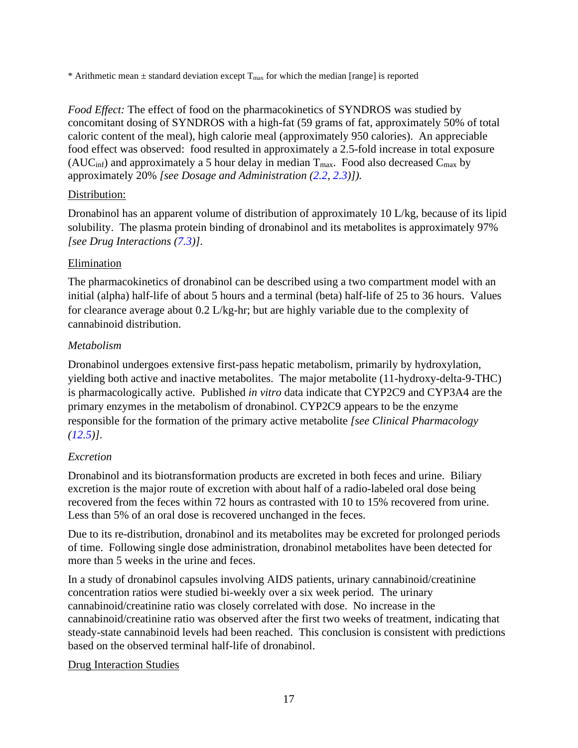\* Arithmetic mean  $\pm$  standard deviation except  $T_{\text{max}}$  for which the median [range] is reported

*Food Effect:* The effect of food on the pharmacokinetics of SYNDROS was studied by concomitant dosing of SYNDROS with a high-fat (59 grams of fat, approximately 50% of total caloric content of the meal), high calorie meal (approximately 950 calories). An appreciable food effect was observed: food resulted in approximately a 2.5-fold increase in total exposure (AUC<sub>inf</sub>) and approximately a 5 hour delay in median  $T_{\text{max}}$ . Food also decreased  $C_{\text{max}}$  by approximately 20% *[see Dosage and Administration (2.2, 2.3)]).*

#### Distribution:

Dronabinol has an apparent volume of distribution of approximately 10 L/kg, because of its lipid solubility. The plasma protein binding of dronabinol and its metabolites is approximately 97% *[see Drug Interactions (7.3)]*.

#### Elimination

The pharmacokinetics of dronabinol can be described using a two compartment model with an initial (alpha) half-life of about 5 hours and a terminal (beta) half-life of 25 to 36 hours. Values for clearance average about 0.2 L/kg-hr; but are highly variable due to the complexity of cannabinoid distribution.

#### *Metabolism*

Dronabinol undergoes extensive first-pass hepatic metabolism, primarily by hydroxylation, yielding both active and inactive metabolites. The major metabolite (11-hydroxy-delta-9-THC) is pharmacologically active. Published *in vitro* data indicate that CYP2C9 and CYP3A4 are the primary enzymes in the metabolism of dronabinol. CYP2C9 appears to be the enzyme responsible for the formation of the primary active metabolite *[see Clinical Pharmacology (12.5)]*.

#### *Excretion*

Dronabinol and its biotransformation products are excreted in both feces and urine. Biliary excretion is the major route of excretion with about half of a radio-labeled oral dose being recovered from the feces within 72 hours as contrasted with 10 to 15% recovered from urine. Less than 5% of an oral dose is recovered unchanged in the feces.

Due to its re-distribution, dronabinol and its metabolites may be excreted for prolonged periods of time. Following single dose administration, dronabinol metabolites have been detected for more than 5 weeks in the urine and feces.

In a study of dronabinol capsules involving AIDS patients, urinary cannabinoid/creatinine concentration ratios were studied bi-weekly over a six week period. The urinary cannabinoid/creatinine ratio was closely correlated with dose. No increase in the cannabinoid/creatinine ratio was observed after the first two weeks of treatment, indicating that steady-state cannabinoid levels had been reached. This conclusion is consistent with predictions based on the observed terminal half-life of dronabinol.

#### Drug Interaction Studies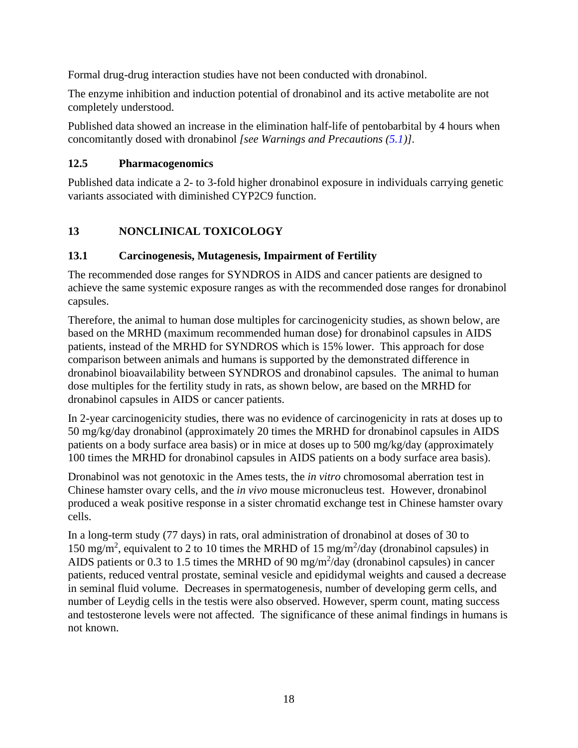Formal drug-drug interaction studies have not been conducted with dronabinol.

The enzyme inhibition and induction potential of dronabinol and its active metabolite are not completely understood.

Published data showed an increase in the elimination half-life of pentobarbital by 4 hours when concomitantly dosed with dronabinol *[see Warnings and Precautions (5.1)]*.

### **12.5 Pharmacogenomics**

Published data indicate a 2- to 3-fold higher dronabinol exposure in individuals carrying genetic variants associated with diminished CYP2C9 function.

# **13 NONCLINICAL TOXICOLOGY**

### **13.1 Carcinogenesis, Mutagenesis, Impairment of Fertility**

The recommended dose ranges for SYNDROS in AIDS and cancer patients are designed to achieve the same systemic exposure ranges as with the recommended dose ranges for dronabinol capsules.

Therefore, the animal to human dose multiples for carcinogenicity studies, as shown below, are based on the MRHD (maximum recommended human dose) for dronabinol capsules in AIDS patients, instead of the MRHD for SYNDROS which is 15% lower. This approach for dose comparison between animals and humans is supported by the demonstrated difference in dronabinol bioavailability between SYNDROS and dronabinol capsules. The animal to human dose multiples for the fertility study in rats, as shown below, are based on the MRHD for dronabinol capsules in AIDS or cancer patients.

In 2-year carcinogenicity studies, there was no evidence of carcinogenicity in rats at doses up to 50 mg/kg/day dronabinol (approximately 20 times the MRHD for dronabinol capsules in AIDS patients on a body surface area basis) or in mice at doses up to 500 mg/kg/day (approximately 100 times the MRHD for dronabinol capsules in AIDS patients on a body surface area basis).

Dronabinol was not genotoxic in the Ames tests, the *in vitro* chromosomal aberration test in Chinese hamster ovary cells, and the *in vivo* mouse micronucleus test. However, dronabinol produced a weak positive response in a sister chromatid exchange test in Chinese hamster ovary cells.

In a long-term study (77 days) in rats, oral administration of dronabinol at doses of 30 to 150 mg/m<sup>2</sup>, equivalent to 2 to 10 times the MRHD of 15 mg/m<sup>2</sup>/day (dronabinol capsules) in AIDS patients or 0.3 to 1.5 times the MRHD of 90 mg/m<sup>2</sup>/day (dronabinol capsules) in cancer patients, reduced ventral prostate, seminal vesicle and epididymal weights and caused a decrease in seminal fluid volume. Decreases in spermatogenesis, number of developing germ cells, and number of Leydig cells in the testis were also observed. However, sperm count, mating success and testosterone levels were not affected. The significance of these animal findings in humans is not known.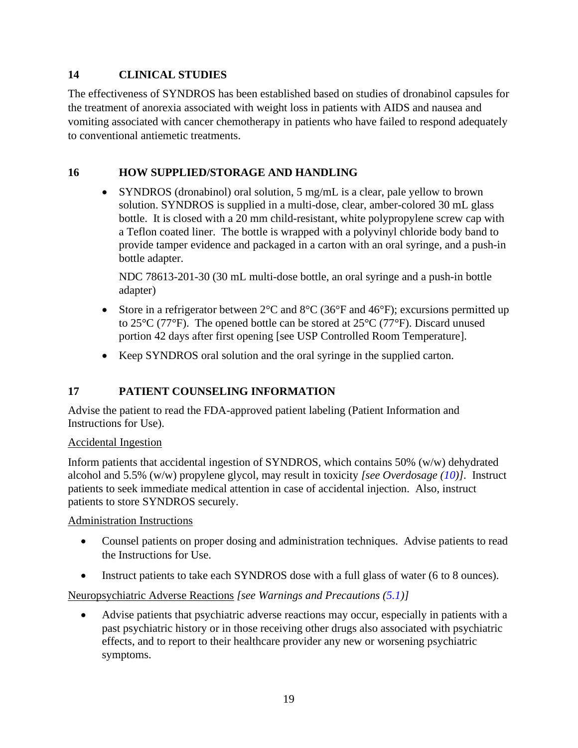## **14 CLINICAL STUDIES**

The effectiveness of SYNDROS has been established based on studies of dronabinol capsules for the treatment of anorexia associated with weight loss in patients with AIDS and nausea and vomiting associated with cancer chemotherapy in patients who have failed to respond adequately to conventional antiemetic treatments.

## **16 HOW SUPPLIED/STORAGE AND HANDLING**

• SYNDROS (dronabinol) oral solution, 5 mg/mL is a clear, pale yellow to brown solution. SYNDROS is supplied in a multi-dose, clear, amber-colored 30 mL glass bottle. It is closed with a 20 mm child-resistant, white polypropylene screw cap with a Teflon coated liner. The bottle is wrapped with a polyvinyl chloride body band to provide tamper evidence and packaged in a carton with an oral syringe, and a push-in bottle adapter.

NDC 78613-201-30 (30 mL multi-dose bottle, an oral syringe and a push-in bottle adapter)

- Store in a refrigerator between  $2^{\circ}$ C and  $8^{\circ}$ C (36 $^{\circ}$ F and 46 $^{\circ}$ F); excursions permitted up to 25°C (77°F). The opened bottle can be stored at 25°C (77°F). Discard unused portion 42 days after first opening [see USP Controlled Room Temperature].
- Keep SYNDROS oral solution and the oral syringe in the supplied carton.

# **17 PATIENT COUNSELING INFORMATION**

Advise the patient to read the FDA-approved patient labeling (Patient Information and Instructions for Use).

## Accidental Ingestion

Inform patients that accidental ingestion of SYNDROS, which contains 50% (w/w) dehydrated alcohol and 5.5% (w/w) propylene glycol, may result in toxicity *[see Overdosage (10)]*. Instruct patients to seek immediate medical attention in case of accidental injection. Also, instruct patients to store SYNDROS securely.

Administration Instructions

- Counsel patients on proper dosing and administration techniques. Advise patients to read the Instructions for Use.
- Instruct patients to take each SYNDROS dose with a full glass of water (6 to 8 ounces).

## Neuropsychiatric Adverse Reactions *[see Warnings and Precautions (5.1)]*

• Advise patients that psychiatric adverse reactions may occur, especially in patients with a past psychiatric history or in those receiving other drugs also associated with psychiatric effects, and to report to their healthcare provider any new or worsening psychiatric symptoms.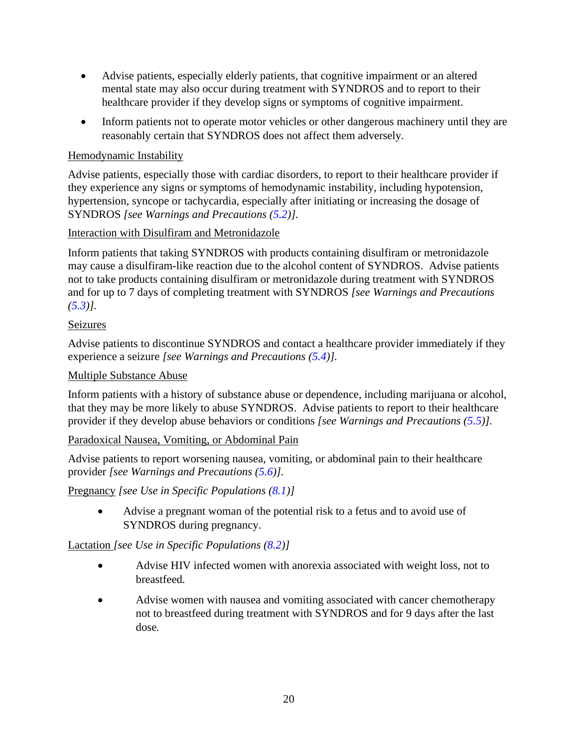- Advise patients, especially elderly patients, that cognitive impairment or an altered mental state may also occur during treatment with SYNDROS and to report to their healthcare provider if they develop signs or symptoms of cognitive impairment.
- Inform patients not to operate motor vehicles or other dangerous machinery until they are reasonably certain that SYNDROS does not affect them adversely.

### Hemodynamic Instability

Advise patients, especially those with cardiac disorders, to report to their healthcare provider if they experience any signs or symptoms of hemodynamic instability, including hypotension, hypertension, syncope or tachycardia, especially after initiating or increasing the dosage of SYNDROS *[see Warnings and Precautions (5.2)].*

Interaction with Disulfiram and Metronidazole

Inform patients that taking SYNDROS with products containing disulfiram or metronidazole may cause a disulfiram-like reaction due to the alcohol content of SYNDROS. Advise patients not to take products containing disulfiram or metronidazole during treatment with SYNDROS and for up to 7 days of completing treatment with SYNDROS *[see Warnings and Precautions (5.3)].*

#### Seizures

Advise patients to discontinue SYNDROS and contact a healthcare provider immediately if they experience a seizure *[see Warnings and Precautions (5.4)].*

#### Multiple Substance Abuse

Inform patients with a history of substance abuse or dependence, including marijuana or alcohol, that they may be more likely to abuse SYNDROS. Advise patients to report to their healthcare provider if they develop abuse behaviors or conditions *[see Warnings and Precautions (5.5)].*

#### Paradoxical Nausea, Vomiting, or Abdominal Pain

Advise patients to report worsening nausea, vomiting, or abdominal pain to their healthcare provider *[see Warnings and Precautions (5.6)].*

Pregnancy *[see Use in Specific Populations (8.1)]*

• Advise a pregnant woman of the potential risk to a fetus and to avoid use of SYNDROS during pregnancy.

Lactation *[see Use in Specific Populations (8.2)]*

- Advise HIV infected women with anorexia associated with weight loss, not to breastfeed.
- Advise women with nausea and vomiting associated with cancer chemotherapy not to breastfeed during treatment with SYNDROS and for 9 days after the last dose*.*